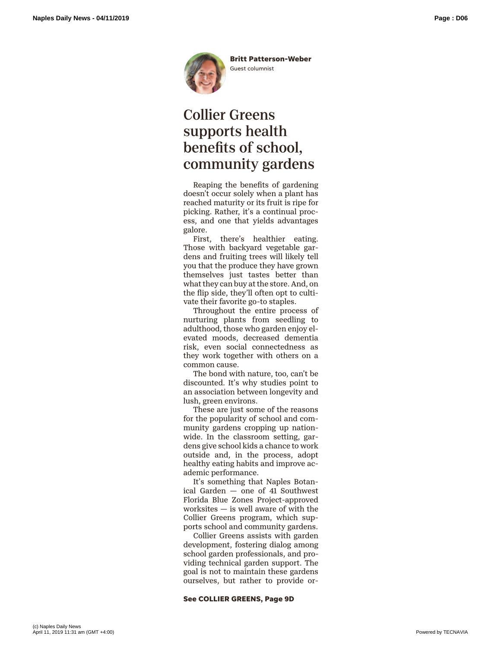

## Collier Greens supports health benefits of school, community gardens

Reaping the benefits of gardening doesn't occur solely when a plant has reached maturity or its fruit is ripe for picking. Rather, it's a continual process, and one that yields advantages galore.

First, there's healthier eating. Those with backyard vegetable gardens and fruiting trees will likely tell you that the produce they have grown themselves just tastes better than what they can buy at the store. And, on the flip side, they'll often opt to cultivate their favorite go-to staples.

Throughout the entire process of nurturing plants from seedling to adulthood, those who garden enjoy elevated moods, decreased dementia risk, even social connectedness as they work together with others on a common cause.

The bond with nature, too, can't be discounted. It's why studies point to an association between longevity and lush, green environs.

These are just some of the reasons for the popularity of school and community gardens cropping up nationwide. In the classroom setting, gardens give school kids a chance to work outside and, in the process, adopt healthy eating habits and improve academic performance.

It's something that Naples Botanical Garden — one of 41 Southwest Florida Blue Zones Project-approved worksites — is well aware of with the Collier Greens program, which supports school and community gardens.

Collier Greens assists with garden development, fostering dialog among school garden professionals, and providing technical garden support. The goal is not to maintain these gardens ourselves, but rather to provide or-

## **See COLLIER GREENS, Page 9D**